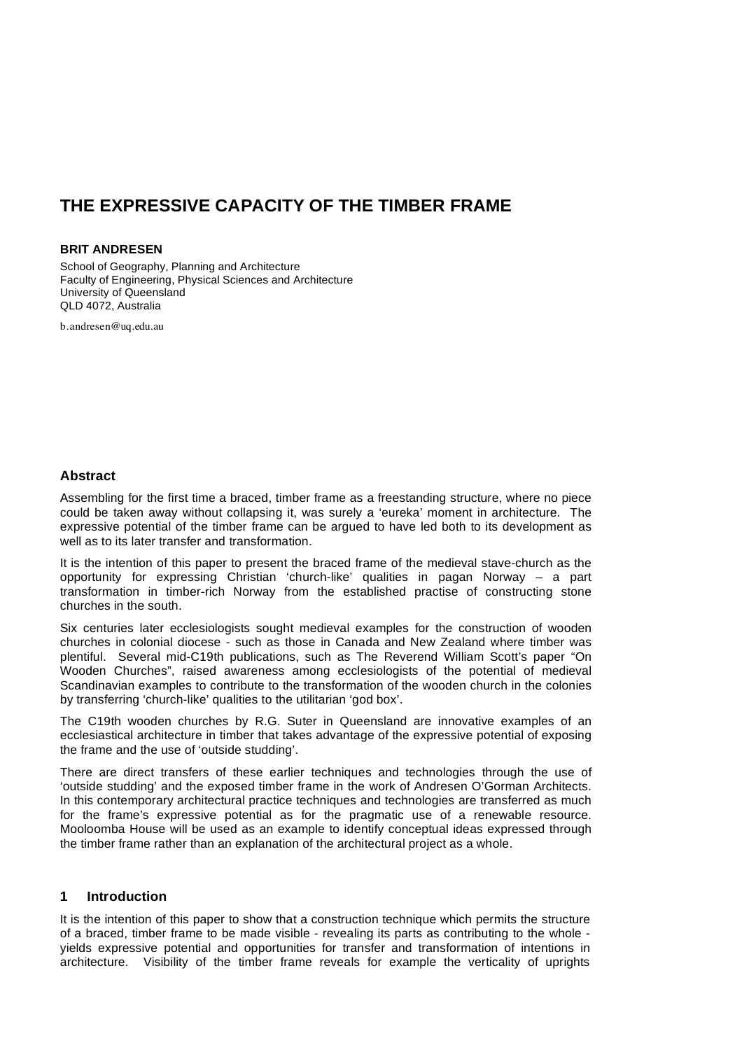# **THE EXPRESSIVE CAPACITY OF THE TIMBER FRAME**

#### **BRIT ANDRESEN**

School of Geography, Planning and Architecture Faculty of Engineering, Physical Sciences and Architecture University of Queensland QLD 4072, Australia

b.andresen@uq.edu.au

#### **Abstract**

Assembling for the first time a braced, timber frame as a freestanding structure, where no piece could be taken away without collapsing it, was surely a 'eureka' moment in architecture. The expressive potential of the timber frame can be argued to have led both to its development as well as to its later transfer and transformation.

It is the intention of this paper to present the braced frame of the medieval stave-church as the opportunity for expressing Christian 'church-like' qualities in pagan Norway – a part transformation in timber-rich Norway from the established practise of constructing stone churches in the south.

Six centuries later ecclesiologists sought medieval examples for the construction of wooden churches in colonial diocese - such as those in Canada and New Zealand where timber was plentiful. Several mid-C19th publications, such as The Reverend William Scott's paper "On Wooden Churches", raised awareness among ecclesiologists of the potential of medieval Scandinavian examples to contribute to the transformation of the wooden church in the colonies by transferring 'church-like' qualities to the utilitarian 'god box'.

The C19th wooden churches by R.G. Suter in Queensland are innovative examples of an ecclesiastical architecture in timber that takes advantage of the expressive potential of exposing the frame and the use of 'outside studding'.

There are direct transfers of these earlier techniques and technologies through the use of 'outside studding' and the exposed timber frame in the work of Andresen O'Gorman Architects. In this contemporary architectural practice techniques and technologies are transferred as much for the frame's expressive potential as for the pragmatic use of a renewable resource. Mooloomba House will be used as an example to identify conceptual ideas expressed through the timber frame rather than an explanation of the architectural project as a whole.

#### **1 Introduction**

It is the intention of this paper to show that a construction technique which permits the structure of a braced, timber frame to be made visible - revealing its parts as contributing to the whole yields expressive potential and opportunities for transfer and transformation of intentions in architecture. Visibility of the timber frame reveals for example the verticality of uprights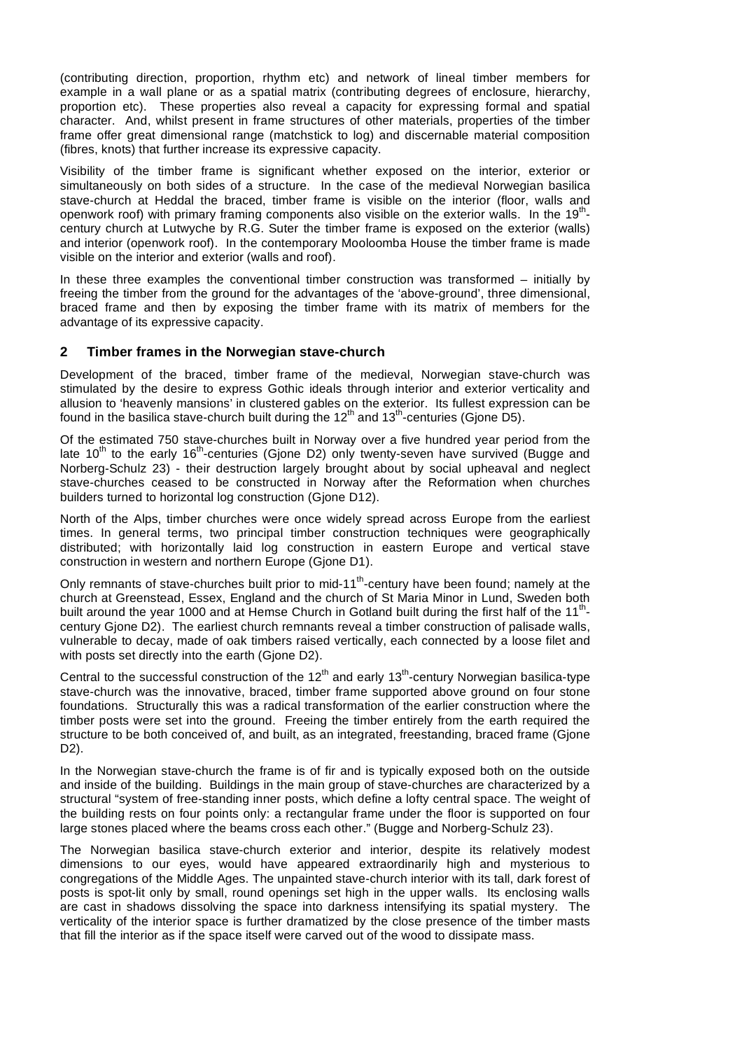(contributing direction, proportion, rhythm etc) and network of lineal timber members for example in a wall plane or as a spatial matrix (contributing degrees of enclosure, hierarchy, proportion etc). These properties also reveal a capacity for expressing formal and spatial character. And, whilst present in frame structures of other materials, properties of the timber frame offer great dimensional range (matchstick to log) and discernable material composition (fibres, knots) that further increase its expressive capacity.

Visibility of the timber frame is significant whether exposed on the interior, exterior or simultaneously on both sides of a structure. In the case of the medieval Norwegian basilica stave-church at Heddal the braced, timber frame is visible on the interior (floor, walls and openwork roof) with primary framing components also visible on the exterior walls. In the 19<sup>th</sup>century church at Lutwyche by R.G. Suter the timber frame is exposed on the exterior (walls) and interior (openwork roof). In the contemporary Mooloomba House the timber frame is made visible on the interior and exterior (walls and roof).

In these three examples the conventional timber construction was transformed  $-$  initially by freeing the timber from the ground for the advantages of the 'above-ground', three dimensional, braced frame and then by exposing the timber frame with its matrix of members for the advantage of its expressive capacity.

#### **2 Timber frames in the Norwegian stave-church**

Development of the braced, timber frame of the medieval, Norwegian stave-church was stimulated by the desire to express Gothic ideals through interior and exterior verticality and allusion to 'heavenly mansions' in clustered gables on the exterior. Its fullest expression can be found in the basilica stave-church built during the  $12<sup>th</sup>$  and  $13<sup>th</sup>$ -centuries (Gjone D5).

Of the estimated 750 stave-churches built in Norway over a five hundred year period from the late 10<sup>th</sup> to the early 16<sup>th</sup>-centuries (Gjone D2) only twenty-seven have survived (Bugge and Norberg-Schulz 23) - their destruction largely brought about by social upheaval and neglect stave-churches ceased to be constructed in Norway after the Reformation when churches builders turned to horizontal log construction (Gjone D12).

North of the Alps, timber churches were once widely spread across Europe from the earliest times. In general terms, two principal timber construction techniques were geographically distributed; with horizontally laid log construction in eastern Europe and vertical stave construction in western and northern Europe (Gjone D1).

Only remnants of stave-churches built prior to mid-11<sup>th</sup>-century have been found; namely at the church at Greenstead, Essex, England and the church of St Maria Minor in Lund, Sweden both built around the year 1000 and at Hemse Church in Gotland built during the first half of the 11<sup>th</sup>century Gjone D2). The earliest church remnants reveal a timber construction of palisade walls, vulnerable to decay, made of oak timbers raised vertically, each connected by a loose filet and with posts set directly into the earth (Gione D2).

Central to the successful construction of the 12<sup>th</sup> and early 13<sup>th</sup>-century Norwegian basilica-type stave-church was the innovative, braced, timber frame supported above ground on four stone foundations. Structurally this was a radical transformation of the earlier construction where the timber posts were set into the ground. Freeing the timber entirely from the earth required the structure to be both conceived of, and built, as an integrated, freestanding, braced frame (Gjone D2).

In the Norwegian stave-church the frame is of fir and is typically exposed both on the outside and inside of the building. Buildings in the main group of stave-churches are characterized by a structural "system of free-standing inner posts, which define a lofty central space. The weight of the building rests on four points only: a rectangular frame under the floor is supported on four large stones placed where the beams cross each other." (Bugge and Norberg-Schulz 23).

The Norwegian basilica stave-church exterior and interior, despite its relatively modest dimensions to our eyes, would have appeared extraordinarily high and mysterious to congregations of the Middle Ages. The unpainted stave-church interior with its tall, dark forest of posts is spot-lit only by small, round openings set high in the upper walls. Its enclosing walls are cast in shadows dissolving the space into darkness intensifying its spatial mystery. The verticality of the interior space is further dramatized by the close presence of the timber masts that fill the interior as if the space itself were carved out of the wood to dissipate mass.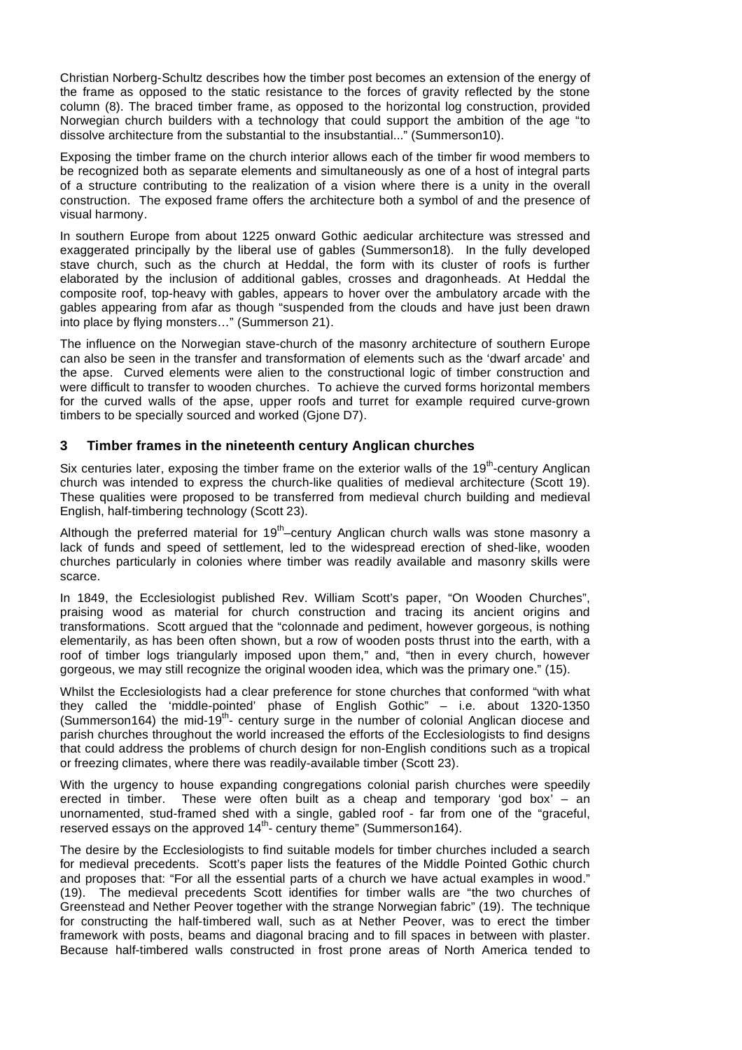Christian Norberg-Schultz describes how the timber post becomes an extension of the energy of the frame as opposed to the static resistance to the forces of gravity reflected by the stone column (8). The braced timber frame, as opposed to the horizontal log construction, provided Norwegian church builders with a technology that could support the ambition of the age "to dissolve architecture from the substantial to the insubstantial..." (Summerson10).

Exposing the timber frame on the church interior allows each of the timber fir wood members to be recognized both as separate elements and simultaneously as one of a host of integral parts of a structure contributing to the realization of a vision where there is a unity in the overall construction. The exposed frame offers the architecture both a symbol of and the presence of visual harmony.

In southern Europe from about 1225 onward Gothic aedicular architecture was stressed and exaggerated principally by the liberal use of gables (Summerson18). In the fully developed stave church, such as the church at Heddal, the form with its cluster of roofs is further elaborated by the inclusion of additional gables, crosses and dragonheads. At Heddal the composite roof, top-heavy with gables, appears to hover over the ambulatory arcade with the gables appearing from afar as though "suspended from the clouds and have just been drawn into place by flying monsters…" (Summerson 21).

The influence on the Norwegian stave-church of the masonry architecture of southern Europe can also be seen in the transfer and transformation of elements such as the 'dwarf arcade' and the apse. Curved elements were alien to the constructional logic of timber construction and were difficult to transfer to wooden churches. To achieve the curved forms horizontal members for the curved walls of the apse, upper roofs and turret for example required curve-grown timbers to be specially sourced and worked (Gjone D7).

## **3 Timber frames in the nineteenth century Anglican churches**

Six centuries later, exposing the timber frame on the exterior walls of the 19<sup>th</sup>-century Anglican church was intended to express the church-like qualities of medieval architecture (Scott 19). These qualities were proposed to be transferred from medieval church building and medieval English, half-timbering technology (Scott 23).

Although the preferred material for 19<sup>th</sup>-century Anglican church walls was stone masonry a lack of funds and speed of settlement, led to the widespread erection of shed-like, wooden churches particularly in colonies where timber was readily available and masonry skills were scarce.

In 1849, the Ecclesiologist published Rev. William Scott's paper, "On Wooden Churches", praising wood as material for church construction and tracing its ancient origins and transformations. Scott argued that the "colonnade and pediment, however gorgeous, is nothing elementarily, as has been often shown, but a row of wooden posts thrust into the earth, with a roof of timber logs triangularly imposed upon them," and, "then in every church, however gorgeous, we may still recognize the original wooden idea, which was the primary one." (15).

Whilst the Ecclesiologists had a clear preference for stone churches that conformed "with what they called the 'middle-pointed' phase of English Gothic" – i.e. about 1320-1350 (Summerson164) the mid-19<sup>th</sup>- century surge in the number of colonial Anglican diocese and parish churches throughout the world increased the efforts of the Ecclesiologists to find designs that could address the problems of church design for non-English conditions such as a tropical or freezing climates, where there was readily-available timber (Scott 23).

With the urgency to house expanding congregations colonial parish churches were speedily erected in timber. These were often built as a cheap and temporary 'god box' – an unornamented, stud-framed shed with a single, gabled roof - far from one of the "graceful, reserved essays on the approved  $14<sup>th</sup>$  century theme" (Summerson 164).

The desire by the Ecclesiologists to find suitable models for timber churches included a search for medieval precedents. Scott's paper lists the features of the Middle Pointed Gothic church and proposes that: "For all the essential parts of a church we have actual examples in wood." (19). The medieval precedents Scott identifies for timber walls are "the two churches of Greenstead and Nether Peover together with the strange Norwegian fabric" (19). The technique for constructing the half-timbered wall, such as at Nether Peover, was to erect the timber framework with posts, beams and diagonal bracing and to fill spaces in between with plaster. Because half-timbered walls constructed in frost prone areas of North America tended to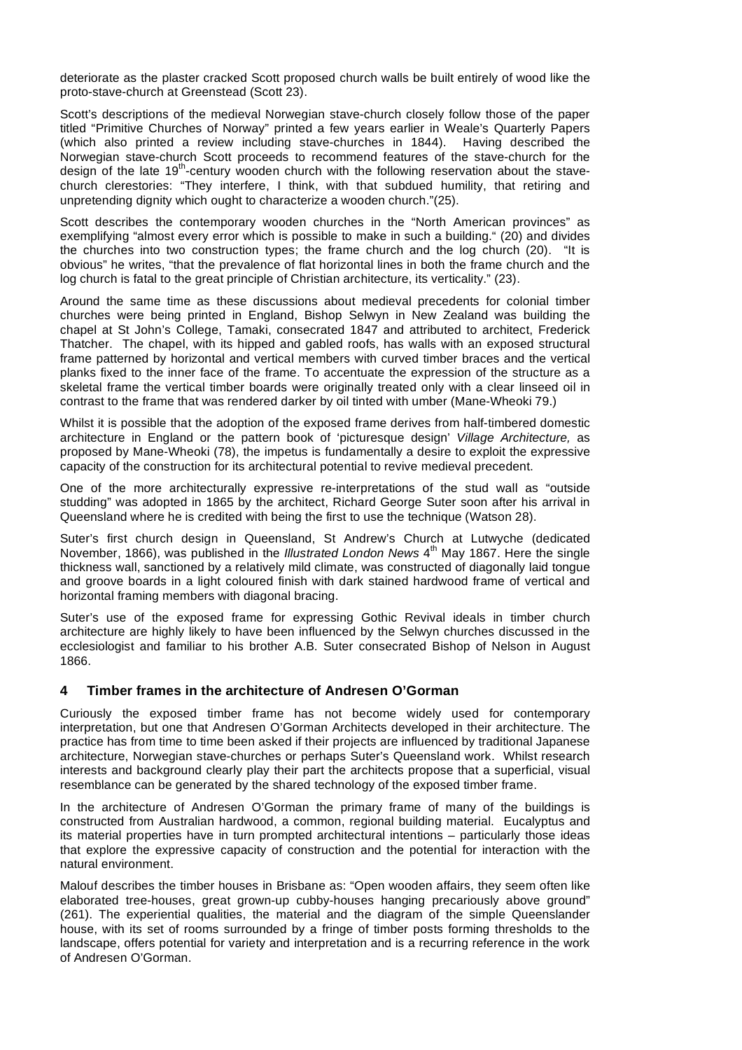deteriorate as the plaster cracked Scott proposed church walls be built entirely of wood like the proto-stave-church at Greenstead (Scott 23).

Scott's descriptions of the medieval Norwegian stave-church closely follow those of the paper titled "Primitive Churches of Norway" printed a few years earlier in Weale's Quarterly Papers (which also printed a review including stave-churches in 1844). Having described the Norwegian stave-church Scott proceeds to recommend features of the stave-church for the design of the late 19<sup>th</sup>-century wooden church with the following reservation about the stavechurch clerestories: "They interfere, I think, with that subdued humility, that retiring and unpretending dignity which ought to characterize a wooden church."(25).

Scott describes the contemporary wooden churches in the "North American provinces" as exemplifying "almost every error which is possible to make in such a building." (20) and divides the churches into two construction types; the frame church and the log church (20). "It is obvious" he writes, "that the prevalence of flat horizontal lines in both the frame church and the log church is fatal to the great principle of Christian architecture, its verticality." (23).

Around the same time as these discussions about medieval precedents for colonial timber churches were being printed in England, Bishop Selwyn in New Zealand was building the chapel at St John's College, Tamaki, consecrated 1847 and attributed to architect, Frederick Thatcher. The chapel, with its hipped and gabled roofs, has walls with an exposed structural frame patterned by horizontal and vertical members with curved timber braces and the vertical planks fixed to the inner face of the frame. To accentuate the expression of the structure as a skeletal frame the vertical timber boards were originally treated only with a clear linseed oil in contrast to the frame that was rendered darker by oil tinted with umber (Mane-Wheoki 79.)

Whilst it is possible that the adoption of the exposed frame derives from half-timbered domestic architecture in England or the pattern book of 'picturesque design' *Village Architecture,* as proposed by Mane-Wheoki (78), the impetus is fundamentally a desire to exploit the expressive capacity of the construction for its architectural potential to revive medieval precedent.

One of the more architecturally expressive re-interpretations of the stud wall as "outside studding" was adopted in 1865 by the architect, Richard George Suter soon after his arrival in Queensland where he is credited with being the first to use the technique (Watson 28).

Suter's first church design in Queensland, St Andrew's Church at Lutwyche (dedicated November, 1866), was published in the *Illustrated London News* 4th May 1867. Here the single thickness wall, sanctioned by a relatively mild climate, was constructed of diagonally laid tongue and groove boards in a light coloured finish with dark stained hardwood frame of vertical and horizontal framing members with diagonal bracing.

Suter's use of the exposed frame for expressing Gothic Revival ideals in timber church architecture are highly likely to have been influenced by the Selwyn churches discussed in the ecclesiologist and familiar to his brother A.B. Suter consecrated Bishop of Nelson in August 1866.

#### **4 Timber frames in the architecture of Andresen O'Gorman**

Curiously the exposed timber frame has not become widely used for contemporary interpretation, but one that Andresen O'Gorman Architects developed in their architecture. The practice has from time to time been asked if their projects are influenced by traditional Japanese architecture, Norwegian stave-churches or perhaps Suter's Queensland work. Whilst research interests and background clearly play their part the architects propose that a superficial, visual resemblance can be generated by the shared technology of the exposed timber frame.

In the architecture of Andresen O'Gorman the primary frame of many of the buildings is constructed from Australian hardwood, a common, regional building material. Eucalyptus and its material properties have in turn prompted architectural intentions – particularly those ideas that explore the expressive capacity of construction and the potential for interaction with the natural environment.

Malouf describes the timber houses in Brisbane as: "Open wooden affairs, they seem often like elaborated tree-houses, great grown-up cubby-houses hanging precariously above ground" (261). The experiential qualities, the material and the diagram of the simple Queenslander house, with its set of rooms surrounded by a fringe of timber posts forming thresholds to the landscape, offers potential for variety and interpretation and is a recurring reference in the work of Andresen O'Gorman.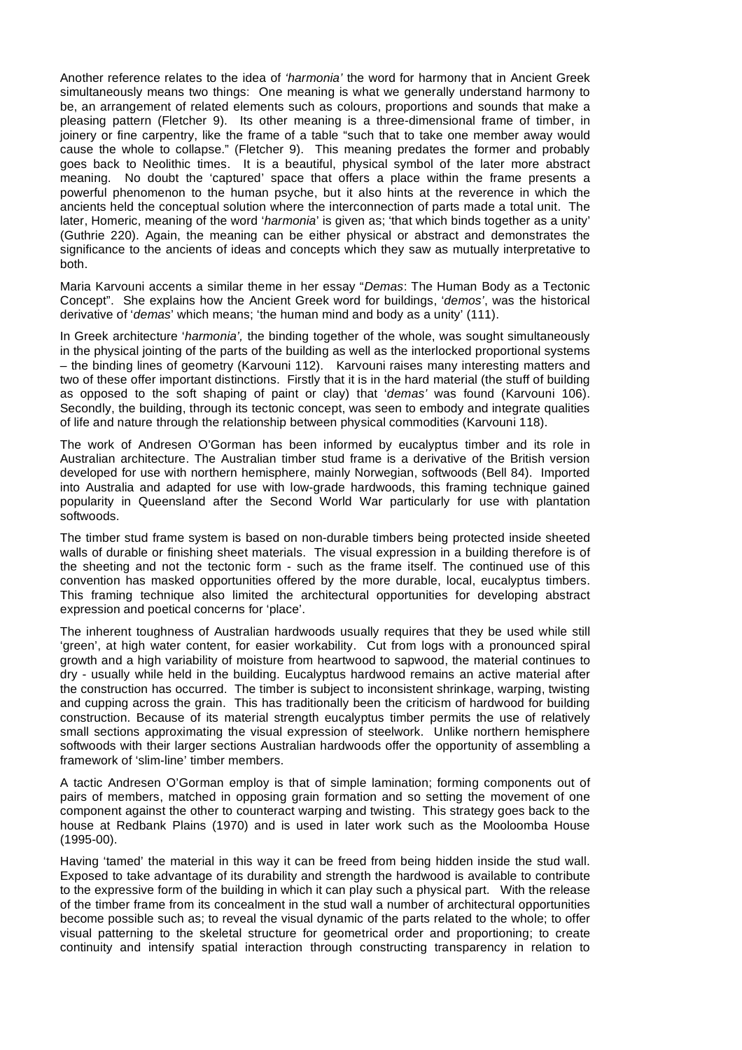Another reference relates to the idea of *'harmonia'* the word for harmony that in Ancient Greek simultaneously means two things: One meaning is what we generally understand harmony to be, an arrangement of related elements such as colours, proportions and sounds that make a pleasing pattern (Fletcher 9). Its other meaning is a three-dimensional frame of timber, in joinery or fine carpentry, like the frame of a table "such that to take one member away would cause the whole to collapse." (Fletcher 9). This meaning predates the former and probably goes back to Neolithic times. It is a beautiful, physical symbol of the later more abstract meaning. No doubt the 'captured' space that offers a place within the frame presents a powerful phenomenon to the human psyche, but it also hints at the reverence in which the ancients held the conceptual solution where the interconnection of parts made a total unit. The later, Homeric, meaning of the word '*harmonia*' is given as; 'that which binds together as a unity' (Guthrie 220). Again, the meaning can be either physical or abstract and demonstrates the significance to the ancients of ideas and concepts which they saw as mutually interpretative to both.

Maria Karvouni accents a similar theme in her essay "*Demas*: The Human Body as a Tectonic Concept". She explains how the Ancient Greek word for buildings, '*demos'*, was the historical derivative of '*demas*' which means; 'the human mind and body as a unity' (111).

In Greek architecture '*harmonia',* the binding together of the whole, was sought simultaneously in the physical jointing of the parts of the building as well as the interlocked proportional systems – the binding lines of geometry (Karvouni 112). Karvouni raises many interesting matters and two of these offer important distinctions. Firstly that it is in the hard material (the stuff of building as opposed to the soft shaping of paint or clay) that '*demas'* was found (Karvouni 106). Secondly, the building, through its tectonic concept, was seen to embody and integrate qualities of life and nature through the relationship between physical commodities (Karvouni 118).

The work of Andresen O'Gorman has been informed by eucalyptus timber and its role in Australian architecture. The Australian timber stud frame is a derivative of the British version developed for use with northern hemisphere, mainly Norwegian, softwoods (Bell 84). Imported into Australia and adapted for use with low-grade hardwoods, this framing technique gained popularity in Queensland after the Second World War particularly for use with plantation softwoods.

The timber stud frame system is based on non-durable timbers being protected inside sheeted walls of durable or finishing sheet materials. The visual expression in a building therefore is of the sheeting and not the tectonic form - such as the frame itself. The continued use of this convention has masked opportunities offered by the more durable, local, eucalyptus timbers. This framing technique also limited the architectural opportunities for developing abstract expression and poetical concerns for 'place'.

The inherent toughness of Australian hardwoods usually requires that they be used while still 'green', at high water content, for easier workability. Cut from logs with a pronounced spiral growth and a high variability of moisture from heartwood to sapwood, the material continues to dry - usually while held in the building. Eucalyptus hardwood remains an active material after the construction has occurred. The timber is subject to inconsistent shrinkage, warping, twisting and cupping across the grain. This has traditionally been the criticism of hardwood for building construction. Because of its material strength eucalyptus timber permits the use of relatively small sections approximating the visual expression of steelwork. Unlike northern hemisphere softwoods with their larger sections Australian hardwoods offer the opportunity of assembling a framework of 'slim-line' timber members.

A tactic Andresen O'Gorman employ is that of simple lamination; forming components out of pairs of members, matched in opposing grain formation and so setting the movement of one component against the other to counteract warping and twisting. This strategy goes back to the house at Redbank Plains (1970) and is used in later work such as the Mooloomba House (1995-00).

Having 'tamed' the material in this way it can be freed from being hidden inside the stud wall. Exposed to take advantage of its durability and strength the hardwood is available to contribute to the expressive form of the building in which it can play such a physical part. With the release of the timber frame from its concealment in the stud wall a number of architectural opportunities become possible such as; to reveal the visual dynamic of the parts related to the whole; to offer visual patterning to the skeletal structure for geometrical order and proportioning; to create continuity and intensify spatial interaction through constructing transparency in relation to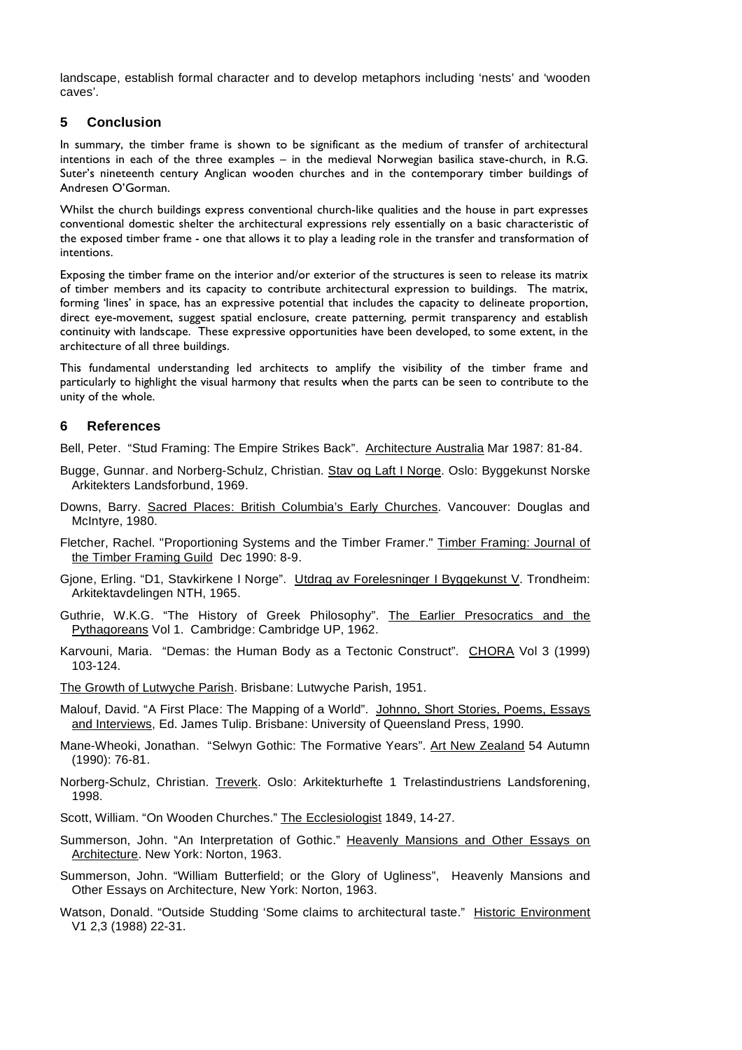landscape, establish formal character and to develop metaphors including 'nests' and 'wooden caves'.

## **5 Conclusion**

In summary, the timber frame is shown to be significant as the medium of transfer of architectural intentions in each of the three examples – in the medieval Norwegian basilica stave-church, in R.G. Suter's nineteenth century Anglican wooden churches and in the contemporary timber buildings of Andresen O'Gorman.

Whilst the church buildings express conventional church-like qualities and the house in part expresses conventional domestic shelter the architectural expressions rely essentially on a basic characteristic of the exposed timber frame - one that allows it to play a leading role in the transfer and transformation of intentions.

Exposing the timber frame on the interior and/or exterior of the structures is seen to release its matrix of timber members and its capacity to contribute architectural expression to buildings. The matrix, forming 'lines' in space, has an expressive potential that includes the capacity to delineate proportion, direct eye-movement, suggest spatial enclosure, create patterning, permit transparency and establish continuity with landscape. These expressive opportunities have been developed, to some extent, in the architecture of all three buildings.

This fundamental understanding led architects to amplify the visibility of the timber frame and particularly to highlight the visual harmony that results when the parts can be seen to contribute to the unity of the whole.

## **6 References**

Bell, Peter. "Stud Framing: The Empire Strikes Back". Architecture Australia Mar 1987: 81-84.

- Bugge, Gunnar. and Norberg-Schulz, Christian. Stav og Laft I Norge. Oslo: Byggekunst Norske Arkitekters Landsforbund, 1969.
- Downs, Barry. Sacred Places: British Columbia's Early Churches. Vancouver: Douglas and McIntyre, 1980.
- Fletcher, Rachel. "Proportioning Systems and the Timber Framer." Timber Framing: Journal of the Timber Framing Guild Dec 1990: 8-9.
- Gjone, Erling. "D1, Stavkirkene I Norge". Utdrag av Forelesninger I Byggekunst V. Trondheim: Arkitektavdelingen NTH, 1965.
- Guthrie, W.K.G. "The History of Greek Philosophy". The Earlier Presocratics and the Pythagoreans Vol 1. Cambridge: Cambridge UP, 1962.
- Karvouni, Maria. "Demas: the Human Body as a Tectonic Construct". CHORA Vol 3 (1999) 103-124.
- The Growth of Lutwyche Parish. Brisbane: Lutwyche Parish, 1951.
- Malouf, David. "A First Place: The Mapping of a World". Johnno, Short Stories, Poems, Essays and Interviews, Ed. James Tulip. Brisbane: University of Queensland Press, 1990.
- Mane-Wheoki, Jonathan. "Selwyn Gothic: The Formative Years". Art New Zealand 54 Autumn (1990): 76-81.
- Norberg-Schulz, Christian. Treverk. Oslo: Arkitekturhefte 1 Trelastindustriens Landsforening, 1998.

Scott, William. "On Wooden Churches." The Ecclesiologist 1849, 14-27.

- Summerson, John. "An Interpretation of Gothic." Heavenly Mansions and Other Essays on Architecture. New York: Norton, 1963.
- Summerson, John. "William Butterfield; or the Glory of Ugliness", Heavenly Mansions and Other Essays on Architecture, New York: Norton, 1963.
- Watson, Donald. "Outside Studding 'Some claims to architectural taste." Historic Environment V1 2,3 (1988) 22-31.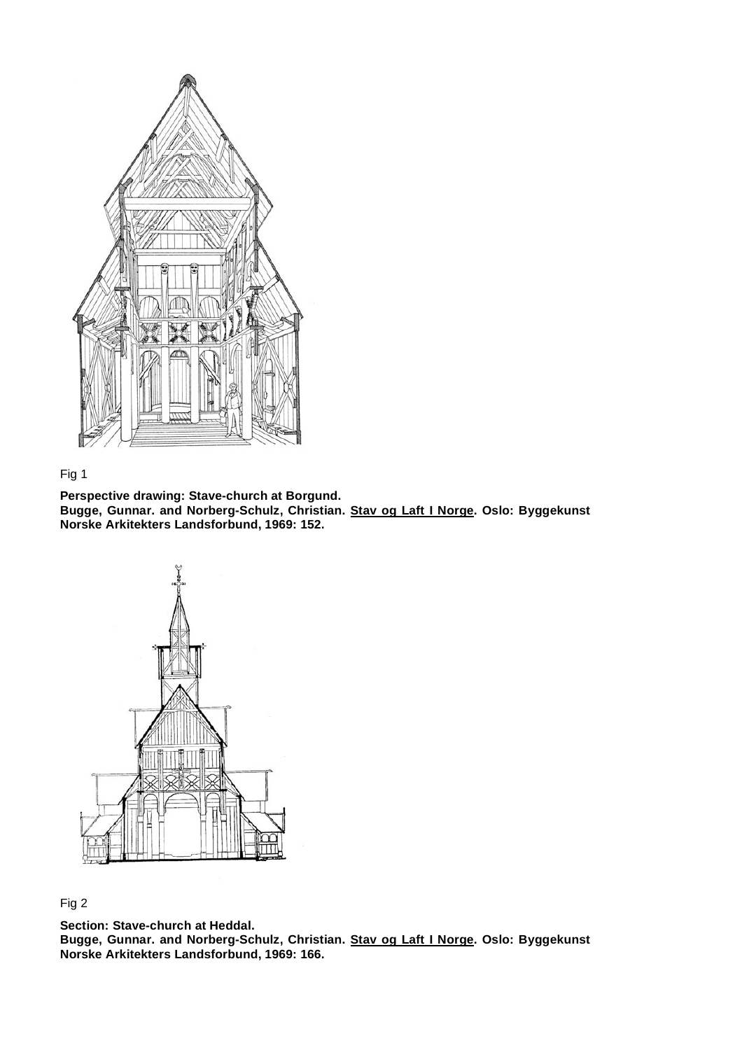

# Fig 1

**Perspective drawing: Stave-church at Borgund. Bugge, Gunnar. and Norberg-Schulz, Christian. Stav og Laft I Norge. Oslo: Byggekunst Norske Arkitekters Landsforbund, 1969: 152.**



Fig 2

**Section: Stave-church at Heddal. Bugge, Gunnar. and Norberg-Schulz, Christian. Stav og Laft I Norge. Oslo: Byggekunst Norske Arkitekters Landsforbund, 1969: 166.**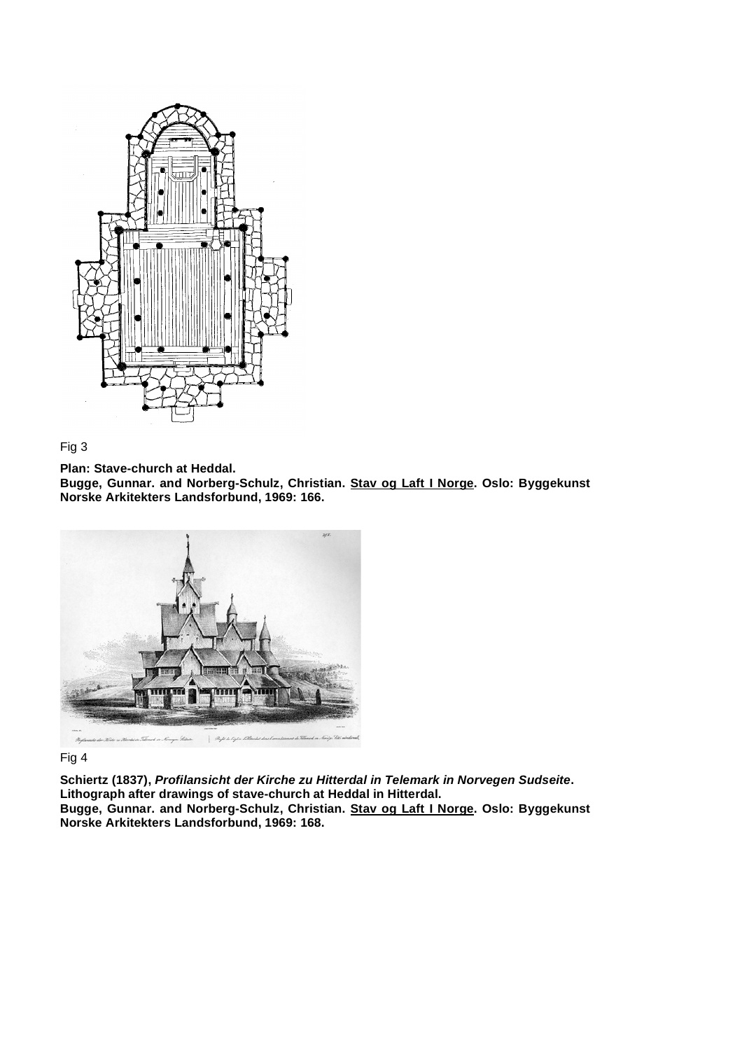



**Plan: Stave-church at Heddal.**

**Bugge, Gunnar. and Norberg-Schulz, Christian. Stav og Laft I Norge. Oslo: Byggekunst Norske Arkitekters Landsforbund, 1969: 166.**



Fig 4

**Schiertz (1837),** *Profilansicht der Kirche zu Hitterdal in Telemark in Norvegen Sudseite***. Lithograph after drawings of stave-church at Heddal in Hitterdal. Bugge, Gunnar. and Norberg-Schulz, Christian. Stav og Laft I Norge. Oslo: Byggekunst Norske Arkitekters Landsforbund, 1969: 168.**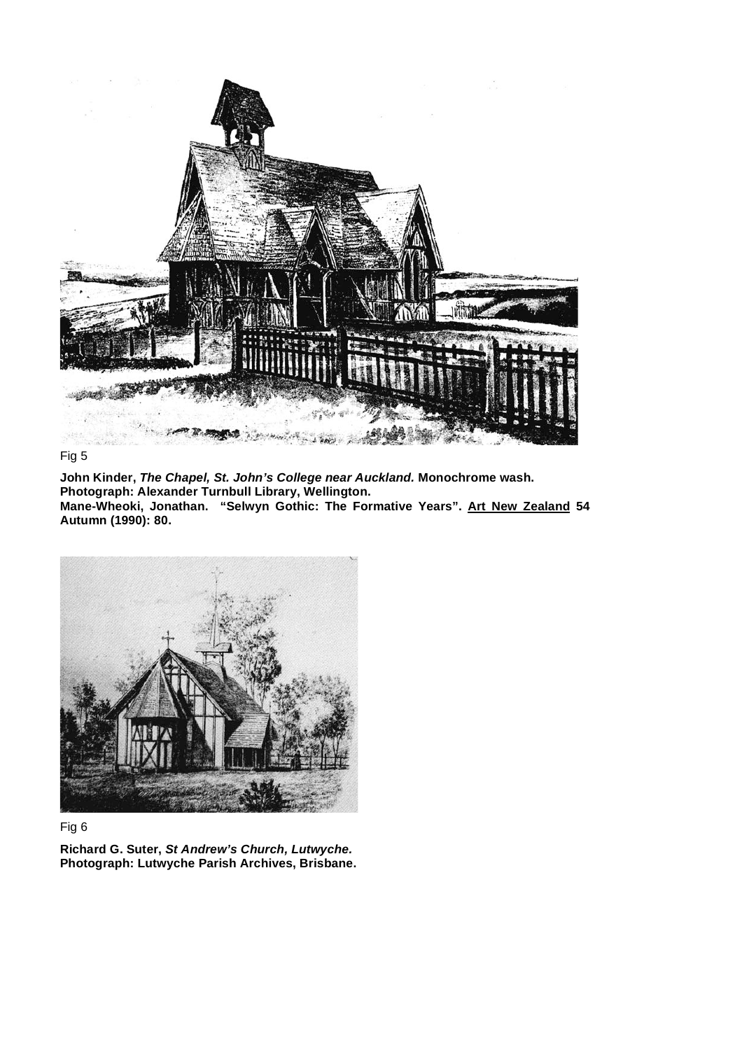

#### Fig 5

**John Kinder,** *The Chapel, St. John's College near Auckland.* **Monochrome wash. Photograph: Alexander Turnbull Library, Wellington. Mane-Wheoki, Jonathan. "Selwyn Gothic: The Formative Years". Art New Zealand 54 Autumn (1990): 80.**



# Fig 6

**Richard G. Suter,** *St Andrew's Church, Lutwyche.* **Photograph: Lutwyche Parish Archives, Brisbane.**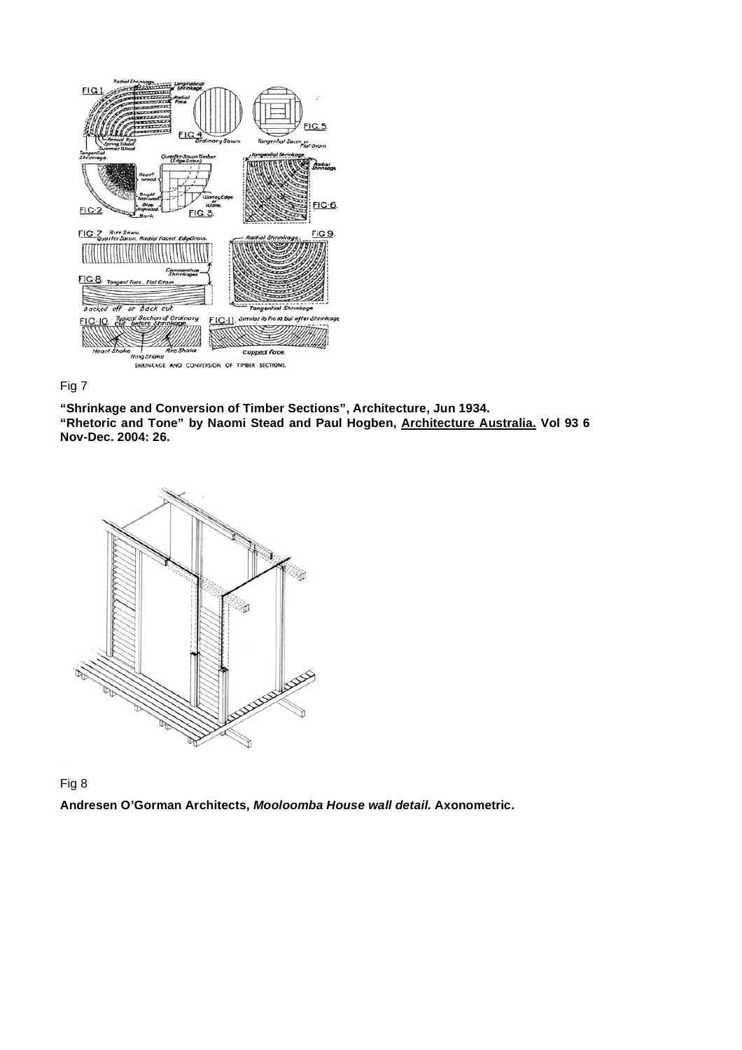



**"Shrinkage and Conversion of Timber Sections", Architecture, Jun 1934. "Rhetoric and Tone" by Naomi Stead and Paul Hogben, Architecture Australia. Vol 93 6 Nov-Dec. 2004: 26.**